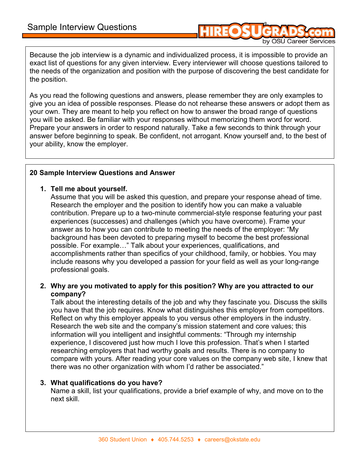by OSU Career Services

Because the job interview is a dynamic and individualized process, it is impossible to provide an exact list of questions for any given interview. Every interviewer will choose questions tailored to the needs of the organization and position with the purpose of discovering the best candidate for the position.

As you read the following questions and answers, please remember they are only examples to give you an idea of possible responses. Please do not rehearse these answers or adopt them as your own. They are meant to help you reflect on how to answer the broad range of questions you will be asked. Be familiar with your responses without memorizing them word for word. Prepare your answers in order to respond naturally. Take a few seconds to think through your answer before beginning to speak. Be confident, not arrogant. Know yourself and, to the best of your ability, know the employer.

## **20 Sample Interview Questions and Answer**

### **1. Tell me about yourself.**

Assume that you will be asked this question, and prepare your response ahead of time. Research the employer and the position to identify how you can make a valuable contribution. Prepare up to a two-minute commercial-style response featuring your past experiences (successes) and challenges (which you have overcome). Frame your answer as to how you can contribute to meeting the needs of the employer: "My background has been devoted to preparing myself to become the best professional possible. For example..." Talk about your experiences, qualifications, and accomplishments rather than specifics of your childhood, family, or hobbies. You may include reasons why you developed a passion for your field as well as your long-range professional goals.

## **2. Why are you motivated to apply for this position? Why are you attracted to our company?**

Talk about the interesting details of the job and why they fascinate you. Discuss the skills you have that the job requires. Know what distinguishes this employer from competitors. Reflect on why this employer appeals to you versus other employers in the industry. Research the web site and the company's mission statement and core values; this information will you intelligent and insightful comments: "Through my internship experience, I discovered just how much I love this profession. That's when I started researching employers that had worthy goals and results. There is no company to compare with yours. After reading your core values on the company web site, I knew that there was no other organization with whom I'd rather be associated."

### **3. What qualifications do you have?**

Name a skill, list your qualifications, provide a brief example of why, and move on to the next skill.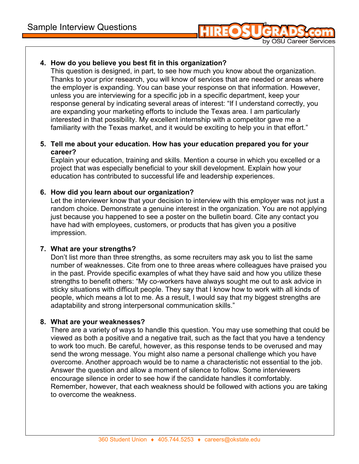

# **4. How do you believe you best fit in this organization?**

This question is designed, in part, to see how much you know about the organization. Thanks to your prior research, you will know of services that are needed or areas where the employer is expanding. You can base your response on that information. However, unless you are interviewing for a specific job in a specific department, keep your response general by indicating several areas of interest: "If I understand correctly, you are expanding your marketing efforts to include the Texas area. I am particularly interested in that possibility. My excellent internship with a competitor gave me a familiarity with the Texas market, and it would be exciting to help you in that effort."

## **5. Tell me about your education. How has your education prepared you for your career?**

Explain your education, training and skills. Mention a course in which you excelled or a project that was especially beneficial to your skill development. Explain how your education has contributed to successful life and leadership experiences.

## **6. How did you learn about our organization?**

Let the interviewer know that your decision to interview with this employer was not just a random choice. Demonstrate a genuine interest in the organization. You are not applying just because you happened to see a poster on the bulletin board. Cite any contact you have had with employees, customers, or products that has given you a positive impression.

## **7. What are your strengths?**

Don't list more than three strengths, as some recruiters may ask you to list the same number of weaknesses. Cite from one to three areas where colleagues have praised you in the past. Provide specific examples of what they have said and how you utilize these strengths to benefit others: "My co-workers have always sought me out to ask advice in sticky situations with difficult people. They say that I know how to work with all kinds of people, which means a lot to me. As a result, I would say that my biggest strengths are adaptability and strong interpersonal communication skills."

## **8. What are your weaknesses?**

There are a variety of ways to handle this question. You may use something that could be viewed as both a positive and a negative trait, such as the fact that you have a tendency to work too much. Be careful, however, as this response tends to be overused and may send the wrong message. You might also name a personal challenge which you have overcome. Another approach would be to name a characteristic not essential to the job. Answer the question and allow a moment of silence to follow. Some interviewers encourage silence in order to see how if the candidate handles it comfortably. Remember, however, that each weakness should be followed with actions you are taking to overcome the weakness.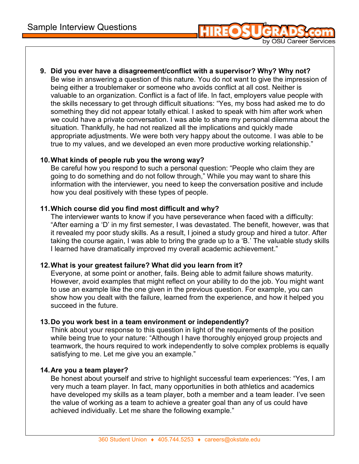

by OSU Career Services

### **10. What kinds of people rub you the wrong way?**

Be careful how you respond to such a personal question: "People who claim they are going to do something and do not follow through," While you may want to share this information with the interviewer, you need to keep the conversation positive and include how you deal positively with these types of people.

### **11. Which course did you find most difficult and why?**

The interviewer wants to know if you have perseverance when faced with a difficulty: "After earning a 'D' in my first semester, I was devastated. The benefit, however, was that it revealed my poor study skills. As a result, I joined a study group and hired a tutor. After taking the course again, I was able to bring the grade up to a 'B.' The valuable study skills I learned have dramatically improved my overall academic achievement."

### **12. What is your greatest failure? What did you learn from it?**

Everyone, at some point or another, fails. Being able to admit failure shows maturity. However, avoid examples that might reflect on your ability to do the job. You might want to use an example like the one given in the previous question. For example, you can show how you dealt with the failure, learned from the experience, and how it helped you succeed in the future.

### **13. Do you work best in a team environment or independently?**

Think about your response to this question in light of the requirements of the position while being true to your nature: "Although I have thoroughly enjoyed group projects and teamwork, the hours required to work independently to solve complex problems is equally satisfying to me. Let me give you an example."

### **14. Are you a team player?**

Be honest about yourself and strive to highlight successful team experiences: "Yes, I am very much a team player. In fact, many opportunities in both athletics and academics have developed my skills as a team player, both a member and a team leader. I've seen the value of working as a team to achieve a greater goal than any of us could have achieved individually. Let me share the following example."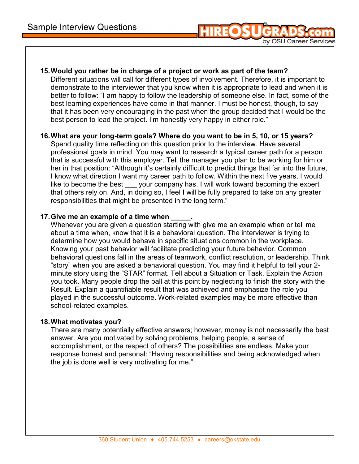

**15. Would you rather be in charge of a project or work as part of the team?**  Different situations will call for different types of involvement. Therefore, it is important to demonstrate to the interviewer that you know when it is appropriate to lead and when it is better to follow: "I am happy to follow the leadership of someone else. In fact, some of the best learning experiences have come in that manner. I must be honest, though, to say that it has been very encouraging in the past when the group decided that I would be the best person to lead the project. I'm honestly very happy in either role."

### **16. What are your long-term goals? Where do you want to be in 5, 10, or 15 years?**

Spend quality time reflecting on this question prior to the interview. Have several professional goals in mind. You may want to research a typical career path for a person that is successful with this employer. Tell the manager you plan to be working for him or her in that position: "Although it's certainly difficult to predict things that far into the future, I know what direction I want my career path to follow. Within the next five years, I would like to become the best your company has. I will work toward becoming the expert that others rely on. And, in doing so, I feel I will be fully prepared to take on any greater responsibilities that might be presented in the long term."

## **17. Give me an example of a time when**

Whenever you are given a question starting with give me an example when or tell me about a time when, know that it is a behavioral question. The interviewer is trying to determine how you would behave in specific situations common in the workplace. Knowing your past behavior will facilitate predicting your future behavior. Common behavioral questions fall in the areas of teamwork, conflict resolution, or leadership. Think "story" when you are asked a behavioral question. You may find it helpful to tell your 2 minute story using the "STAR" format. Tell about a Situation or Task. Explain the Action you took. Many people drop the ball at this point by neglecting to finish the story with the Result. Explain a quantifiable result that was achieved and emphasize the role you played in the successful outcome. Work-related examples may be more effective than school-related examples.

## **18. What motivates you?**

There are many potentially effective answers; however, money is not necessarily the best answer. Are you motivated by solving problems, helping people, a sense of accomplishment, or the respect of others? The possibilities are endless. Make your response honest and personal: "Having responsibilities and being acknowledged when the job is done well is very motivating for me."